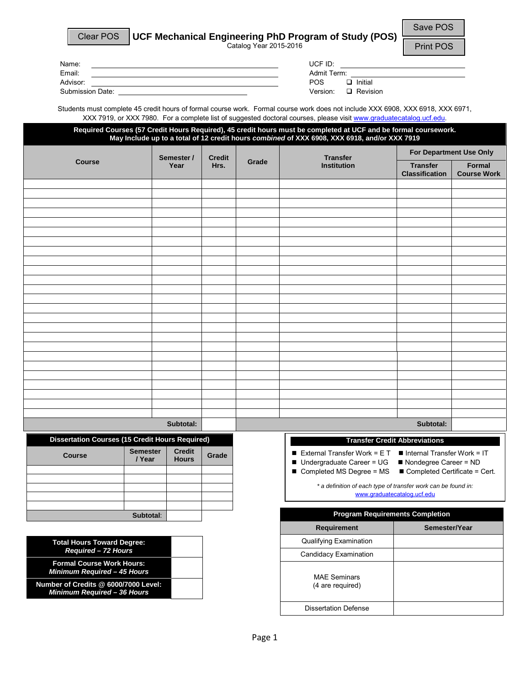|  | Clear POS   UCF Mechanical Engineering PhD Program of Study (POS) | Save POS         |
|--|-------------------------------------------------------------------|------------------|
|  |                                                                   |                  |
|  | Catalog Year 2015-2016                                            | <b>Print POS</b> |

| Name:            | UCF ID:              |
|------------------|----------------------|
| Email:           | Admit Term:          |
| Advisor:         | POS<br>Initial       |
| Submission Date: | Revision<br>Version: |

Students must complete 45 credit hours of formal course work. Formal course work does not include XXX 6908, XXX 6918, XXX 6971, XXX 7919, or XXX 7980. For a complete list of suggested doctoral course[s, please visit www.graduatecatalog.ucf.edu.](http://www.graduatecatalog.ucf.edu/)

| Required Courses (57 Credit Hours Required), 45 credit hours must be completed at UCF and be formal coursework.<br>May Include up to a total of 12 credit hours combined of XXX 6908, XXX 6918, and/or XXX 7919 |                     |                    |                                                                                                                                                                                           |                     |                                                               |                                          |                                     |  |
|-----------------------------------------------------------------------------------------------------------------------------------------------------------------------------------------------------------------|---------------------|--------------------|-------------------------------------------------------------------------------------------------------------------------------------------------------------------------------------------|---------------------|---------------------------------------------------------------|------------------------------------------|-------------------------------------|--|
|                                                                                                                                                                                                                 |                     |                    |                                                                                                                                                                                           |                     |                                                               | For Department Use Only                  |                                     |  |
| <b>Course</b>                                                                                                                                                                                                   |                     | Semester /<br>Year | <b>Credit</b><br>Hrs.                                                                                                                                                                     | Grade               | <b>Transfer</b><br><b>Institution</b>                         | <b>Transfer</b><br><b>Classification</b> | <b>Formal</b><br><b>Course Work</b> |  |
|                                                                                                                                                                                                                 |                     |                    |                                                                                                                                                                                           |                     |                                                               |                                          |                                     |  |
|                                                                                                                                                                                                                 |                     |                    |                                                                                                                                                                                           |                     |                                                               |                                          |                                     |  |
|                                                                                                                                                                                                                 |                     |                    |                                                                                                                                                                                           |                     |                                                               |                                          |                                     |  |
|                                                                                                                                                                                                                 |                     |                    |                                                                                                                                                                                           |                     |                                                               |                                          |                                     |  |
|                                                                                                                                                                                                                 |                     |                    |                                                                                                                                                                                           |                     |                                                               |                                          |                                     |  |
|                                                                                                                                                                                                                 |                     |                    |                                                                                                                                                                                           |                     |                                                               |                                          |                                     |  |
|                                                                                                                                                                                                                 |                     |                    |                                                                                                                                                                                           |                     |                                                               |                                          |                                     |  |
|                                                                                                                                                                                                                 |                     |                    |                                                                                                                                                                                           |                     |                                                               |                                          |                                     |  |
|                                                                                                                                                                                                                 |                     |                    |                                                                                                                                                                                           |                     |                                                               |                                          |                                     |  |
|                                                                                                                                                                                                                 |                     |                    |                                                                                                                                                                                           |                     |                                                               |                                          |                                     |  |
|                                                                                                                                                                                                                 |                     |                    |                                                                                                                                                                                           |                     |                                                               |                                          |                                     |  |
|                                                                                                                                                                                                                 |                     |                    |                                                                                                                                                                                           |                     |                                                               |                                          |                                     |  |
|                                                                                                                                                                                                                 |                     |                    |                                                                                                                                                                                           |                     |                                                               |                                          |                                     |  |
|                                                                                                                                                                                                                 |                     |                    |                                                                                                                                                                                           |                     |                                                               |                                          |                                     |  |
|                                                                                                                                                                                                                 |                     |                    |                                                                                                                                                                                           |                     |                                                               |                                          |                                     |  |
|                                                                                                                                                                                                                 |                     |                    |                                                                                                                                                                                           |                     |                                                               |                                          |                                     |  |
|                                                                                                                                                                                                                 |                     |                    |                                                                                                                                                                                           |                     |                                                               |                                          |                                     |  |
|                                                                                                                                                                                                                 |                     |                    |                                                                                                                                                                                           |                     |                                                               |                                          |                                     |  |
|                                                                                                                                                                                                                 |                     |                    |                                                                                                                                                                                           |                     |                                                               |                                          |                                     |  |
|                                                                                                                                                                                                                 |                     | Subtotal:          |                                                                                                                                                                                           |                     |                                                               | Subtotal:                                |                                     |  |
| <b>Dissertation Courses (15 Credit Hours Required)</b><br><b>Semester</b><br><b>Credit</b><br><b>Course</b><br>/ Year<br><b>Hours</b>                                                                           |                     | Grade              | <b>Transfer Credit Abbreviations</b><br>External Transfer Work = $E T$<br>$\blacksquare$ Internal Transfer Work = IT<br>$\blacksquare$ Undergraduate Career = UG<br>Nondegree Career = ND |                     |                                                               |                                          |                                     |  |
|                                                                                                                                                                                                                 |                     |                    |                                                                                                                                                                                           |                     | Completed MS Degree = MS                                      | Completed Certificate = Cert.            |                                     |  |
|                                                                                                                                                                                                                 |                     |                    |                                                                                                                                                                                           |                     | * a definition of each type of transfer work can be found in: | www.graduatecatalog.ucf.edu              |                                     |  |
|                                                                                                                                                                                                                 |                     |                    |                                                                                                                                                                                           |                     |                                                               |                                          |                                     |  |
|                                                                                                                                                                                                                 | Subtotal:           |                    |                                                                                                                                                                                           |                     |                                                               | <b>Program Requirements Completion</b>   |                                     |  |
|                                                                                                                                                                                                                 |                     |                    |                                                                                                                                                                                           |                     | Requirement                                                   | Semester/Year                            |                                     |  |
| <b>Total Hours Toward Degree:</b>                                                                                                                                                                               |                     |                    |                                                                                                                                                                                           |                     | Qualifying Examination                                        |                                          |                                     |  |
|                                                                                                                                                                                                                 | Required - 72 Hours |                    |                                                                                                                                                                                           |                     | Candidacy Examination                                         |                                          |                                     |  |
| <b>Formal Course Work Hours:</b><br>Minimum Required - 45 Hours                                                                                                                                                 |                     |                    |                                                                                                                                                                                           | <b>MAE Seminars</b> |                                                               |                                          |                                     |  |
| Number of Credits @ 6000/7000 Level:<br>Minimum Required - 36 Hours                                                                                                                                             |                     |                    |                                                                                                                                                                                           |                     | (4 are required)                                              |                                          |                                     |  |
|                                                                                                                                                                                                                 |                     |                    |                                                                                                                                                                                           |                     | <b>Dissertation Defense</b>                                   |                                          |                                     |  |